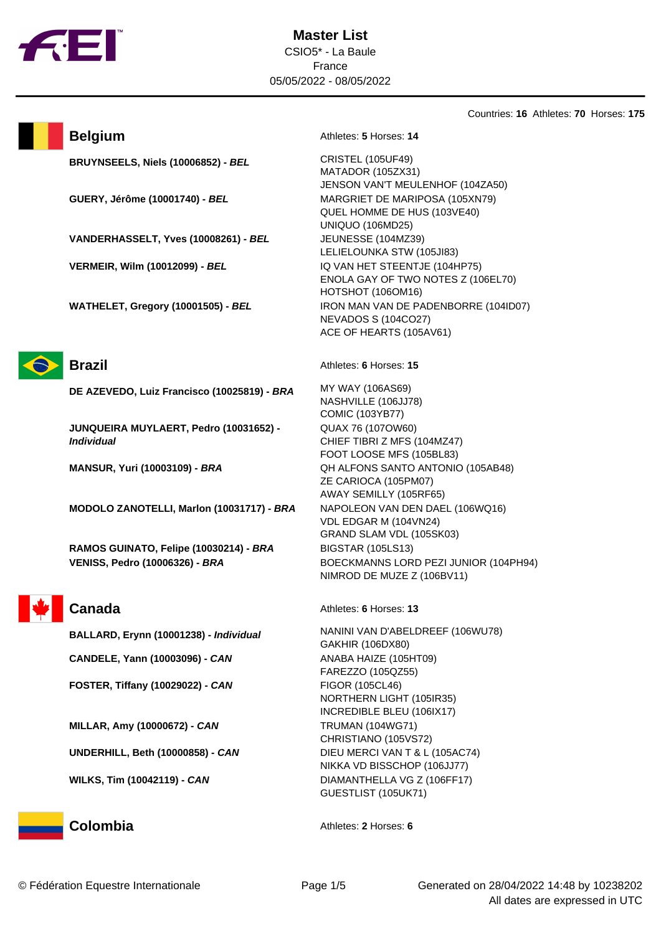

Countries: **16** Athletes: **70** Horses: **175**



## **Belgium** Athletes: **5** Horses: **14**

**BRUYNSEELS, Niels (10006852) - BEL** CRISTEL (105UF49)

**GUERY, Jérôme (10001740) - BEL** MARGRIET DE MARIPOSA (105XN79)

**VANDERHASSELT, Yves (10008261) - BEL** JEUNESSE (104MZ39)

**VERMEIR, Wilm (10012099) - BEL** IQ VAN HET STEENTJE (104HP75)

**WATHELET, Gregory (10001505) - BEL IRON MAN VAN DE PADENBORRE (104ID07)** 



**DE AZEVEDO, Luiz Francisco (10025819) - BRA** MY WAY (106AS69)

**JUNQUEIRA MUYLAERT, Pedro (10031652) - Individual**

**MODOLO ZANOTELLI, Marlon (10031717) - BRA** NAPOLEON VAN DEN DAEL (106WQ16)

**RAMOS GUINATO, Felipe (10030214) - BRA** BIGSTAR (105LS13)

**CANDELE, Yann (10003096) - CAN** ANABA HAIZE (105HT09)

**FOSTER, Tiffany (10029022) - CAN** FIGOR (105CL46)

**MILLAR, Amy (10000672) - CAN** TRUMAN (104WG71)

**UNDERHILL, Beth (10000858) - CAN** DIEU MERCI VAN T & L (105AC74)

**Brazil** Athletes: **6** Horses: **15** 

HOTSHOT (106OM16)

NEVADOS S (104CO27) ACE OF HEARTS (105AV61)

MATADOR (105ZX31)

UNIQUO (106MD25)

JENSON VAN'T MEULENHOF (104ZA50)

ENOLA GAY OF TWO NOTES Z (106EL70)

QUEL HOMME DE HUS (103VE40)

LELIELOUNKA STW (105JI83)

NASHVILLE (106JJ78) COMIC (103YB77) QUAX 76 (107OW60) CHIEF TIBRI Z MFS (104MZ47) FOOT LOOSE MFS (105BL83) **MANSUR, Yuri (10003109) - BRA** QH ALFONS SANTO ANTONIO (105AB48) ZE CARIOCA (105PM07) AWAY SEMILLY (105RF65) VDL EDGAR M (104VN24) GRAND SLAM VDL (105SK03) **VENISS, Pedro (10006326) - BRA** BOECKMANNS LORD PEZI JUNIOR (104PH94) NIMROD DE MUZE Z (106BV11)

Canada **Canada** Athletes: **6** Horses: **13** 

**BALLARD, Erynn (10001238) - Individual** NANINI VAN D'ABELDREEF (106WU78) GAKHIR (106DX80) FAREZZO (105QZ55) NORTHERN LIGHT (105IR35) INCREDIBLE BLEU (106IX17) CHRISTIANO (105VS72) NIKKA VD BISSCHOP (106JJ77) **WILKS, Tim (10042119) - CAN** DIAMANTHELLA VG Z (106FF17) GUESTLIST (105UK71)

**Colombia** Athletes: **2** Horses: **6**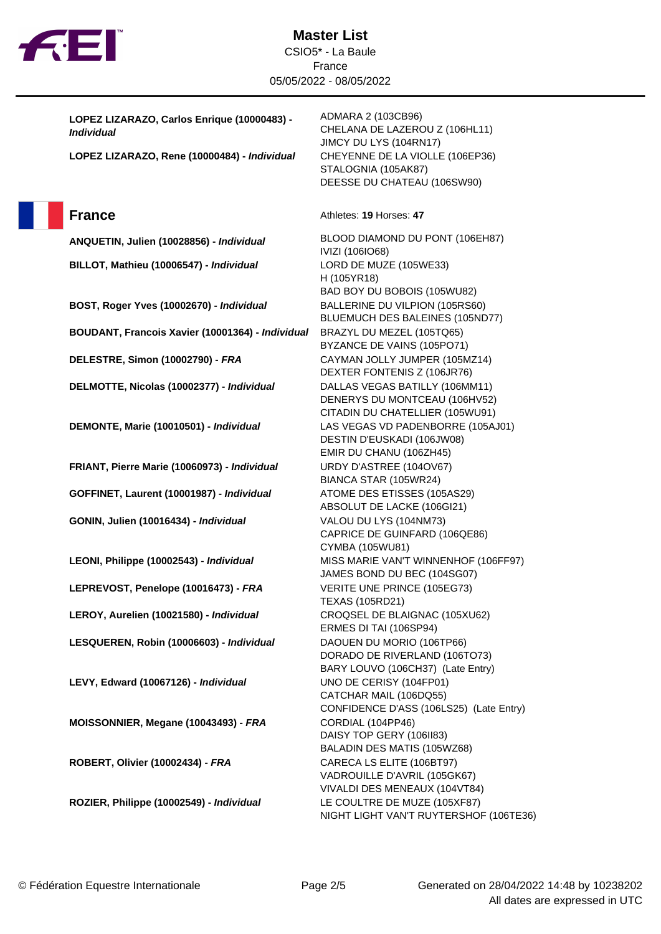

**LOPEZ LIZARAZO, Carlos Enrique (10000483) - Individual**

**LOPEZ LIZARAZO, Rene (10000484) - Individual** CHEYENNE DE LA VIOLLE (106EP36)

**BILLOT, Mathieu (10006547) - Individual** LORD DE MUZE (105WE33)

**BOST, Roger Yves (10002670) - Individual** BALLERINE DU VILPION (105RS60)

**BOUDANT, Francois Xavier (10001364) - Individual** BRAZYL DU MEZEL (105TQ65)

**DELESTRE, Simon (10002790) - FRA** CAYMAN JOLLY JUMPER (105MZ14)

**DELMOTTE, Nicolas (10002377) - Individual** DALLAS VEGAS BATILLY (106MM11)

**GOFFINET, Laurent (10001987) - Individual** ATOME DES ETISSES (105AS29)

**LEPREVOST, Penelope (10016473) - FRA** VERITE UNE PRINCE (105EG73)

**LEROY, Aurelien (10021580) - Individual** CROQSEL DE BLAIGNAC (105XU62)

**LESQUEREN, Robin (10006603) - Individual** DAOUEN DU MORIO (106TP66)

**LEVY, Edward (10067126) - Individual** UNO DE CERISY (104FP01)

**MOISSONNIER, Megane (10043493) - FRA** CORDIAL (104PP46)

**ROBERT, Olivier (10002434) - FRA** CARECA LS ELITE (106BT97)

**ROZIER, Philippe (10002549) - Individual** LE COULTRE DE MUZE (105XF87)

ADMARA 2 (103CB96) CHELANA DE LAZEROU Z (106HL11) JIMCY DU LYS (104RN17) STALOGNIA (105AK87) DEESSE DU CHATEAU (106SW90)

## **France** Athletes: **19** Horses: **47**

**ANQUETIN, Julien (10028856) - Individual** BLOOD DIAMOND DU PONT (106EH87) IVIZI (106IO68) H (105YR18) BAD BOY DU BOBOIS (105WU82) BLUEMUCH DES BALEINES (105ND77) BYZANCE DE VAINS (105PO71) DEXTER FONTENIS Z (106JR76) DENERYS DU MONTCEAU (106HV52) CITADIN DU CHATELLIER (105WU91) **DEMONTE, Marie (10010501) - Individual** LAS VEGAS VD PADENBORRE (105AJ01) DESTIN D'EUSKADI (106JW08) EMIR DU CHANU (106ZH45) **FRIANT, Pierre Marie (10060973) - Individual** URDY D'ASTREE (104OV67) BIANCA STAR (105WR24) ABSOLUT DE LACKE (106GI21) **GONIN, Julien (10016434) - Individual** VALOU DU LYS (104NM73) CAPRICE DE GUINFARD (106QE86) CYMBA (105WU81) **LEONI, Philippe (10002543) - Individual** MISS MARIE VAN'T WINNENHOF (106FF97) JAMES BOND DU BEC (104SG07) TEXAS (105RD21) ERMES DI TAI (106SP94) DORADO DE RIVERLAND (106TO73) BARY LOUVO (106CH37) (Late Entry) CATCHAR MAIL (106DQ55) CONFIDENCE D'ASS (106LS25) (Late Entry) DAISY TOP GERY (106II83) BALADIN DES MATIS (105WZ68) VADROUILLE D'AVRIL (105GK67) VIVALDI DES MENEAUX (104VT84) NIGHT LIGHT VAN'T RUYTERSHOF (106TE36)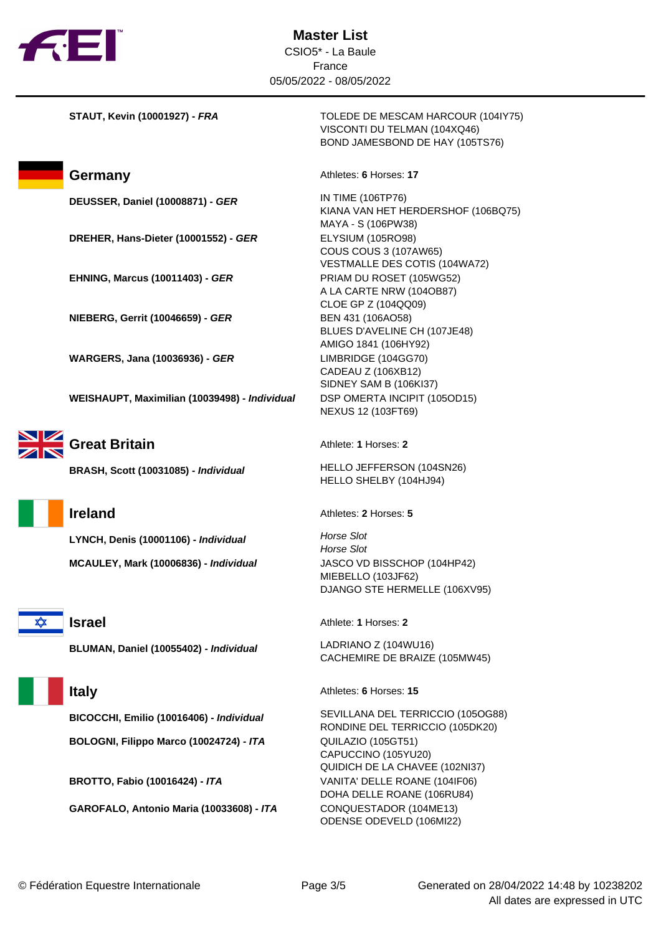

**DEUSSER, Daniel (10008871) - GER** IN TIME (106TP76)

**DREHER, Hans-Dieter (10001552) - GER** ELYSIUM (105RO98)

**EHNING, Marcus (10011403) - GER** PRIAM DU ROSET (105WG52)

**NIEBERG, Gerrit (10046659) - GER** BEN 431 (106AO58)

**WARGERS, Jana (10036936) - GER** LIMBRIDGE (104GG70)

**WEISHAUPT, Maximilian (10039498) - Individual** DSP OMERTA INCIPIT (105OD15)



**Great Britain Athlete: 1** Horses: 2

**LYNCH, Denis (10001106) - Individual Horse Slot MCAULEY, Mark (10006836) - Individual** JASCO VD BISSCHOP (104HP42)



**BLUMAN, Daniel (10055402) - Individual** LADRIANO Z (104WU16)

**BOLOGNI, Filippo Marco (10024724) - ITA** QUILAZIO (105GT51)

**GAROFALO, Antonio Maria (10033608) - ITA** CONQUESTADOR (104ME13)

**STAUT, Kevin (10001927) - FRA** TOLEDE DE MESCAM HARCOUR (104IY75) VISCONTI DU TELMAN (104XQ46) BOND JAMESBOND DE HAY (105TS76)

**Germany Athletes: 6 Horses: 17** 

KIANA VAN HET HERDERSHOF (106BQ75) MAYA - S (106PW38) COUS COUS 3 (107AW65) VESTMALLE DES COTIS (104WA72) A LA CARTE NRW (104OB87) CLOE GP Z (104QQ09) BLUES D'AVELINE CH (107JE48) AMIGO 1841 (106HY92) CADEAU Z (106XB12) SIDNEY SAM B (106KI37) NEXUS 12 (103FT69)

**BRASH, Scott (10031085) - Individual** HELLO JEFFERSON (104SN26) HELLO SHELBY (104HJ94)

**Ireland** Athletes: **2** Horses: **5** 

Horse Slot MIEBELLO (103JF62) DJANGO STE HERMELLE (106XV95)

**Israel** Athlete: **1** Horses: **2** 

CACHEMIRE DE BRAIZE (105MW45)

**Italy** Athletes: **6** Horses: **15** 

**BICOCCHI, Emilio (10016406) - Individual** SEVILLANA DEL TERRICCIO (105OG88) RONDINE DEL TERRICCIO (105DK20) CAPUCCINO (105YU20) QUIDICH DE LA CHAVEE (102NI37) **BROTTO, Fabio (10016424) - ITA** VANITA' DELLE ROANE (104IF06) DOHA DELLE ROANE (106RU84) ODENSE ODEVELD (106MI22)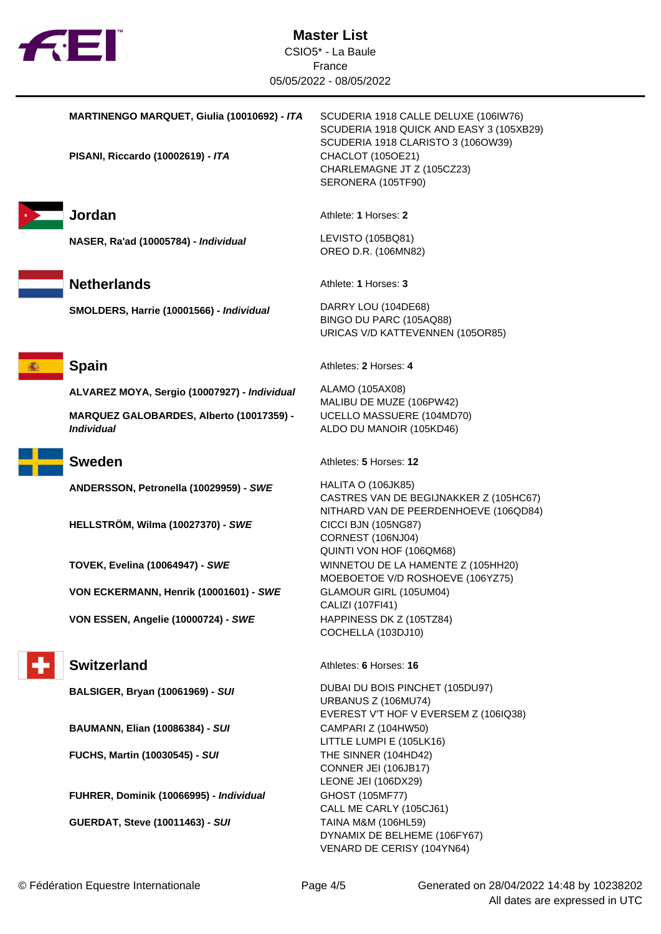

**PISANI, Riccardo (10002619) - ITA** CHACLOT (105OE21)



**NASER, Ra'ad (10005784) - Individual** LEVISTO (105BQ81)

**SMOLDERS, Harrie (10001566) - Individual** DARRY LOU (104DE68)

**ALVAREZ MOYA, Sergio (10007927) - Individual** ALAMO (105AX08)

**MARQUEZ GALOBARDES, Alberto (10017359) - Individual**



**ANDERSSON, Petronella (10029959) - SWE** HALITA O (106JK85)

**HELLSTRÖM, Wilma (10027370) - SWE** CICCI BJN (105NG87)

**VON ECKERMANN, Henrik (10001601) - SWE** GLAMOUR GIRL (105UM04)

**VON ESSEN, Angelie (10000724) - SWE** HAPPINESS DK Z (105TZ84)



**BAUMANN, Elian (10086384) - SUI** CAMPARI Z (104HW50)

**FUCHS, Martin (10030545) - SUI** THE SINNER (104HD42)

**FUHRER, Dominik (10066995) - Individual** GHOST (105MF77)

**GUERDAT, Steve (10011463) - SUI** TAINA M&M (106HL59)

**MARTINENGO MARQUET, Giulia (10010692) - ITA** SCUDERIA 1918 CALLE DELUXE (106IW76) SCUDERIA 1918 QUICK AND EASY 3 (105XB29) SCUDERIA 1918 CLARISTO 3 (106OW39) CHARLEMAGNE JT Z (105CZ23) SERONERA (105TF90)

**Jordan** Athlete: **1** Horses: **2** 

OREO D.R. (106MN82)

**Netherlands** Athlete: **1** Horses: **3** 

BINGO DU PARC (105AQ88) URICAS V/D KATTEVENNEN (105OR85)

**Spain** Athletes: 2 Horses: 4

MALIBU DE MUZE (106PW42) UCELLO MASSUERE (104MD70) ALDO DU MANOIR (105KD46)

**Sweden** Athletes: **5** Horses: **12** 

CASTRES VAN DE BEGIJNAKKER Z (105HC67) NITHARD VAN DE PEERDENHOEVE (106QD84) CORNEST (106NJ04) QUINTI VON HOF (106QM68) **TOVEK, Evelina (10064947) - SWE** WINNETOU DE LA HAMENTE Z (105HH20) MOEBOETOE V/D ROSHOEVE (106YZ75) CALIZI (107FI41) COCHELLA (103DJ10)

**Switzerland** Athletes: **6** Horses: 16

**BALSIGER, Bryan (10061969) - SUI** DUBAI DU BOIS PINCHET (105DU97) URBANUS Z (106MU74) EVEREST V'T HOF V EVERSEM Z (106IQ38) LITTLE LUMPI E (105LK16) CONNER JEI (106JB17) LEONE JEI (106DX29) CALL ME CARLY (105CJ61) DYNAMIX DE BELHEME (106FY67) VENARD DE CERISY (104YN64)